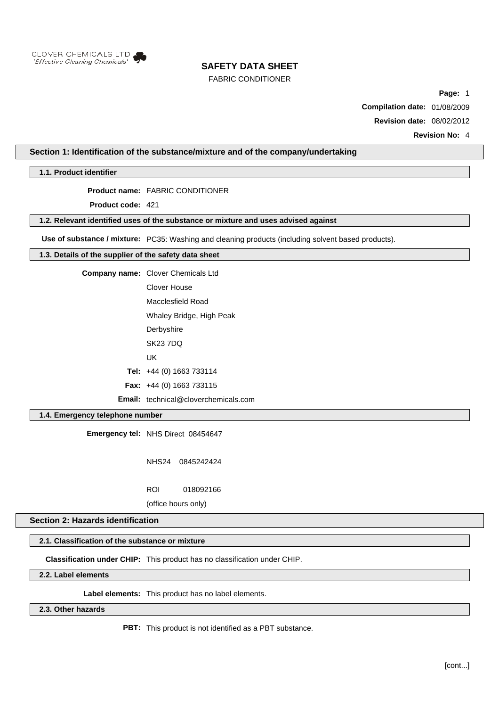

## FABRIC CONDITIONER

**Page:** 1

**Compilation date:** 01/08/2009

**Revision date:** 08/02/2012

**Revision No:** 4

## **Section 1: Identification of the substance/mixture and of the company/undertaking**

**1.1. Product identifier**

**Product name:** FABRIC CONDITIONER

**Product code:** 421

### **1.2. Relevant identified uses of the substance or mixture and uses advised against**

**Use of substance / mixture:** PC35: Washing and cleaning products (including solvent based products).

### **1.3. Details of the supplier of the safety data sheet**

**Company name:** Clover Chemicals Ltd

Clover House Macclesfield Road

Whaley Bridge, High Peak

**Derbyshire** 

SK23 7DQ

UK

**Tel:** +44 (0) 1663 733114

**Fax:** +44 (0) 1663 733115

**Email:** technical@cloverchemicals.com

# **1.4. Emergency telephone number**

**Emergency tel:** NHS Direct 08454647

NHS24 0845242424

ROI 018092166

(office hours only)

## **Section 2: Hazards identification**

#### **2.1. Classification of the substance or mixture**

**Classification under CHIP:** This product has no classification under CHIP.

**2.2. Label elements**

**Label elements:** This product has no label elements.

## **2.3. Other hazards**

**PBT:** This product is not identified as a PBT substance.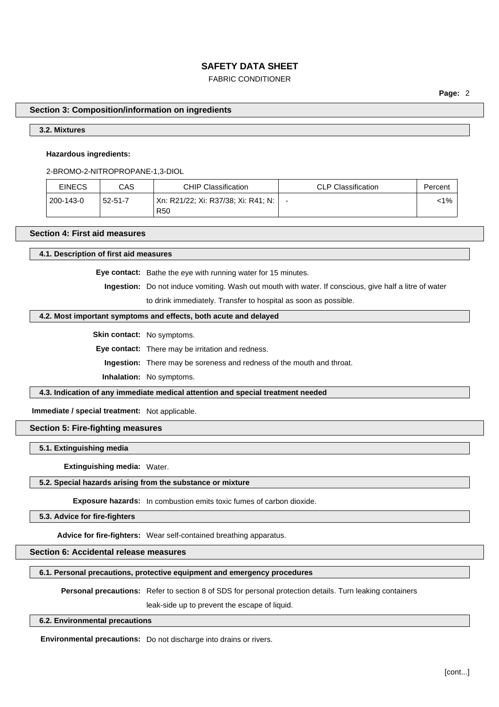# FABRIC CONDITIONER

**Page:** 2

#### **Section 3: Composition/information on ingredients**

# **3.2. Mixtures**

#### **Hazardous ingredients:**

2-BROMO-2-NITROPROPANE-1,3-DIOL

| <b>EINECS</b> | CAS           | <b>CHIP Classification</b>                               | <b>CLP Classification</b> | Percent |
|---------------|---------------|----------------------------------------------------------|---------------------------|---------|
| 200-143-0     | $52 - 51 - 7$ | Xn: R21/22; Xi: R37/38; Xi: R41; N:  <br>R <sub>50</sub> |                           | <1%     |

# **Section 4: First aid measures**

#### **4.1. Description of first aid measures**

**Eye contact:** Bathe the eye with running water for 15 minutes.

**Ingestion:** Do not induce vomiting. Wash out mouth with water. If conscious, give half a litre of water to drink immediately. Transfer to hospital as soon as possible.

#### **4.2. Most important symptoms and effects, both acute and delayed**

**Skin contact:** No symptoms.

**Eye contact:** There may be irritation and redness.

**Ingestion:** There may be soreness and redness of the mouth and throat.

**Inhalation:** No symptoms.

**4.3. Indication of any immediate medical attention and special treatment needed**

**Immediate / special treatment:** Not applicable.

# **Section 5: Fire-fighting measures**

**5.1. Extinguishing media**

**Extinguishing media:** Water.

#### **5.2. Special hazards arising from the substance or mixture**

**Exposure hazards:** In combustion emits toxic fumes of carbon dioxide.

**5.3. Advice for fire-fighters**

**Advice for fire-fighters:** Wear self-contained breathing apparatus.

# **Section 6: Accidental release measures**

**6.1. Personal precautions, protective equipment and emergency procedures**

**Personal precautions:** Refer to section 8 of SDS for personal protection details. Turn leaking containers

leak-side up to prevent the escape of liquid.

#### **6.2. Environmental precautions**

**Environmental precautions:** Do not discharge into drains or rivers.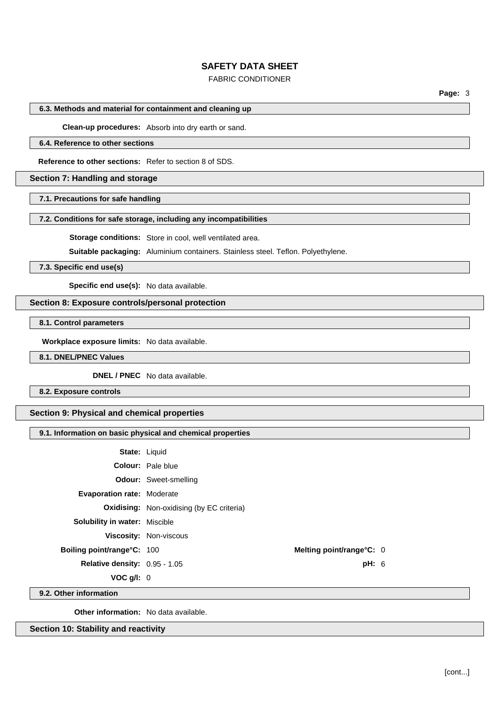## FABRIC CONDITIONER

**Page:** 3

#### **6.3. Methods and material for containment and cleaning up**

**Clean-up procedures:** Absorb into dry earth or sand.

### **6.4. Reference to other sections**

**Reference to other sections:** Refer to section 8 of SDS.

### **Section 7: Handling and storage**

**7.1. Precautions for safe handling**

#### **7.2. Conditions for safe storage, including any incompatibilities**

**Storage conditions:** Store in cool, well ventilated area.

**Suitable packaging:** Aluminium containers. Stainless steel. Teflon. Polyethylene.

**7.3. Specific end use(s)**

**Specific end use(s):** No data available.

## **Section 8: Exposure controls/personal protection**

**8.1. Control parameters**

**Workplace exposure limits:** No data available.

### **8.1. DNEL/PNEC Values**

**DNEL / PNEC** No data available.

**8.2. Exposure controls**

# **Section 9: Physical and chemical properties**

### **9.1. Information on basic physical and chemical properties**

|                                      | <b>State: Liquid</b>                             |       |  |
|--------------------------------------|--------------------------------------------------|-------|--|
|                                      | <b>Colour:</b> Pale blue                         |       |  |
|                                      | <b>Odour:</b> Sweet-smelling                     |       |  |
| <b>Evaporation rate: Moderate</b>    |                                                  |       |  |
|                                      | <b>Oxidising:</b> Non-oxidising (by EC criteria) |       |  |
| <b>Solubility in water: Miscible</b> |                                                  |       |  |
|                                      | Viscosity: Non-viscous                           |       |  |
| <b>Boiling point/range°C: 100</b>    | Melting point/range°C: 0                         |       |  |
| <b>Relative density: 0.95 - 1.05</b> |                                                  | pH: 6 |  |
| VOC $g/I: 0$                         |                                                  |       |  |
| .                                    |                                                  |       |  |

**9.2. Other information**

**Other information:** No data available.

**Section 10: Stability and reactivity**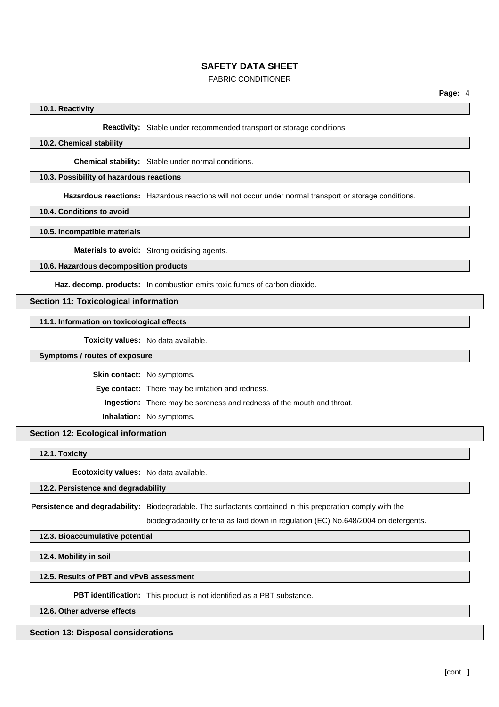## FABRIC CONDITIONER

### **10.1. Reactivity**

**Reactivity:** Stable under recommended transport or storage conditions.

# **10.2. Chemical stability**

**Chemical stability:** Stable under normal conditions.

## **10.3. Possibility of hazardous reactions**

**Hazardous reactions:** Hazardous reactions will not occur under normal transport or storage conditions.

**10.4. Conditions to avoid**

**10.5. Incompatible materials**

**Materials to avoid:** Strong oxidising agents.

#### **10.6. Hazardous decomposition products**

**Haz. decomp. products:** In combustion emits toxic fumes of carbon dioxide.

#### **Section 11: Toxicological information**

**11.1. Information on toxicological effects**

**Toxicity values:** No data available.

#### **Symptoms / routes of exposure**

**Skin contact:** No symptoms.

**Eye contact:** There may be irritation and redness.

**Ingestion:** There may be soreness and redness of the mouth and throat.

**Inhalation:** No symptoms.

#### **Section 12: Ecological information**

**12.1. Toxicity**

**Ecotoxicity values:** No data available.

#### **12.2. Persistence and degradability**

**Persistence and degradability:** Biodegradable. The surfactants contained in this preperation comply with the

biodegradability criteria as laid down in regulation (EC) No.648/2004 on detergents.

#### **12.3. Bioaccumulative potential**

**12.4. Mobility in soil**

#### **12.5. Results of PBT and vPvB assessment**

**PBT identification:** This product is not identified as a PBT substance.

**12.6. Other adverse effects**

# **Section 13: Disposal considerations**